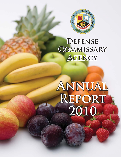

## **Defense Commissary ommissary Agency**

# **Annual Report 2010**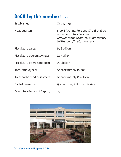### **DeCA by the numbers ...**

| Established:                  | Oct. 1, 1991                                                                                                                  |
|-------------------------------|-------------------------------------------------------------------------------------------------------------------------------|
| Headquarters:                 | 1300 E Avenue, Fort Lee VA 23801-1800<br>www.commissaries.com<br>www.facebook.com/YourCommissary<br>twitter.com/TheCommissary |
| Fiscal 2010 sales:            | \$5.8 billion                                                                                                                 |
| Fiscal 2010 patron savings:   | $$2.7$ billion                                                                                                                |
| Fiscal 2010 operations cost:  | $$1.3$ billion                                                                                                                |
| Total employees:              | Approximately 18,000                                                                                                          |
| Total authorized customers:   | Approximately 12 million                                                                                                      |
| Global presence:              | 13 countries, 2 U.S. territories                                                                                              |
| Commissaries, as of Sept. 30: | 252                                                                                                                           |

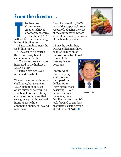### **From the director ...**

**THE MANUS ENSINE SERVING MANUS EN ABOURDE SERVING MANUS WELL SERVING WATER SIDE SERVING WAS A UP ON A SERVING MOVING MOVING MOVING SERVING MANUS MOVING MOVING MANUS PROPERTY AND MANUS MOVING MOVING MANUS MANUS MANUS MOVIN** he Defense **Commissary** Agency achieved another impressive year in fiscal 2010, in the right direction:

 $\Box$  Sales remained near the \$6 billion mark.

 $\Box$  The cost of delivering the commissary benefit came in under budget.

□ Customer service scores increased to the highest in DeCA history.

 $\Box$  Patron savings levels remained constant.

The year was not without its challenges, but as a team, DeCA remained focused on its mission: delivering a vital benefit of the military compensation system that sells grocery and household items at cost while enhancing quality of life and readiness.

From its inception, DeCA has held a respectable track record of reducing the cost of the commissary system without decreasing the value of the benefit provided:

 $\Box$  Since its beginning, DeCA's efficiencies have enabled reduction of the workforce by almost 10,000 full-

time equivalent positions.

I'm proud of this exemplary workforce and their patriotic dedication to "serving the most deserving" — our nation's service members, their families and retirees. We look forward to another productive, exciting year ahead in fiscal 2011.  $\blacksquare$ 



Joseph H. Jeu

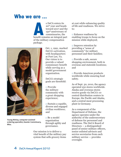### **Who we are ...**

s DeCA enters its<br>
<sup>20<sup>th</sup> year and heads<br>
toward 2017 and the<br>
<sup>150<sup>th</sup> anniversary of<br>
commissaries, the<br>
benefit remains an integral part</sup></sup> 20th year and heads toward 2017 and the 150th anniversary of commissaries, the of the military compensation package.



**Young McKay, computer-assistedordering specialist, Keesler Commissary, Miss.**

Oct. 1, 1991, marked DeCA's activation, with headquarters at Fort Lee, Va. Our vision is to provide a valued commissary benefit while serving as a model government organization.

DeCA's strategic goals are threefold:

 $\Box$  Provide the military community with a great shopping experience;

 $\square$  Sustain a capable, diverse and engaged civilian workforce; and

□ Be a model organization through agility and governance.

Our mission is to deliver a vital benefit of the military pay system that sells grocery items

at cost while enhancing quality of life and readiness. We strive to:

□ Enhance readiness by enabling troops to focus on the mission while deployed;

□ Improve retention by providing a "sense of community" for military personnel and their families;

□ Provide a safe, secure shopping environment, both in overseas and stateside locations; and

□ Provide American products worldwide while ensuring food safety.

As of Sept. 30, 2010, the agency operated 252 stores worldwide. Alaska and overseas stores receive goods via DeCA's 10 central distribution centers in Europe, the Pacific and Alaska, and a central meat processing plant in Germany.

As a component of the Department of Defense, the agency operates under the authority of the undersecretary of defense for personnel and readiness. The DeCA Board of Directors — a distinguished panel of senior military officers, senior enlisted advisors and service secretaries from each military service — provides oversight.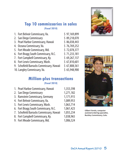#### **Top 10 commissaries in sales (Fiscal 2010)**

| 1. Fort Belvoir Commissary, Va.          | \$97,169,899 |
|------------------------------------------|--------------|
| 2. San Diego Commissary                  | \$89,218,070 |
| 3. Pearl Harbor Commissary, Hawaii       | \$86,038,443 |
| 4. Oceana Commissary, Va.                | \$76,769,252 |
| 5. Fort Meade Commissary, Md.            | \$72,078,377 |
| 6. Fort Bragg South Commissary, N.C.     | \$71,233,181 |
| 7. Fort Campbell Commissary, Ky.         | \$69,267,137 |
| 8. Fort Lewis Commissary, Wash.          | \$67,810,601 |
| 9. Schofield Barracks Commissary, Hawaii | \$67,808,561 |
| 10. Langley Commissary, Va.              | \$65,948,900 |
|                                          |              |
|                                          |              |

#### **Million-plus transactions (Fiscal 2010)**

| 1. Pearl Harbor Commissary, Hawaii       | 1,353,598 |
|------------------------------------------|-----------|
| 2. San Diego Commissary                  | 1,271,182 |
| 3. Ramstein Commissary, Germany          | 1,171,915 |
| 4. Fort Belvoir Commissary, Va.          | 1,089,953 |
| 5. Fort Lewis Commissary, Wash.          | 1,063,714 |
| 6. Fort Bragg South Commissary, N.C.     | 1,061,423 |
| 7. Schofield Barracks Commissary, Hawaii | 1,055,234 |
| 8. Fort Campbell Commissary, Ky.         | 1,038,965 |
| 9. Fort Meade Commissary, Md.            | 1,006,524 |





**Gilbert Varela, computerassisted-ordering specialist, Buckley Commissary, Colo.**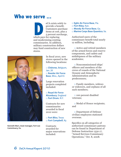### **Who we serve ...**

eCA exists solely to<br>provide a benefit.<br>Customers purchase<br>items at cost, plus a<br>5 percent surcharge<br>which pays for replacing provide a benefit. Customers purchase items at cost, plus a 5 percent surcharge, which pays for replacing and modernizing existing commissaries. In addition, military construction dollars may fund construction of new stores.



**Kenneth Marr, meat manager, Fort Lee Commissary, Va.**

In fiscal 2010, new stores opened in the following locations:

□ **Chièvres**, Belgium, Jan. 20 □ **Keesler Air Force Base**, Miss., April 6

Large renovation projects completed included:

#### □ **Royal Air Force Alconbury**, England □ **Fort Drum**, N.Y.

Contracts for new commissaries awarded in fiscal 2010 were:

#### □ **Fort Bliss**, Texas □ **Fort Campbell**, Ky.

**Contracts** awarded for major renovations included:

- □ **Eglin Air Force Base**, Fla.
- □ **Fort Riley**, Kan.
- □ **Moody Air Force Base**, Ga.
- □ **Marine Corps Base Quantico**, Va.

Authorized users of the commissary benefit total nearly 12 million, including:

□ Active and retired members of the armed forces and reserve components, and cadets and midshipmen of the military academies;

□ Noncommissioned ships' officers and members of the crews of vessels of the National Oceanic and Atmospheric Administration and its predecessors;

□ Family members, widows or widowers, and orphans of all such members;

□ 100 percent disabled veterans;

□ Medal of Honor recipients; and

□ Department of Defense civilian employees stationed overseas.

Specifics on all categories of authorized commissary patrons can be found in Department of Defense Instruction 1330.17, "Armed Services Commissary Operations," Oct. 8, 2008.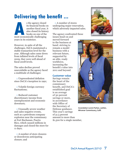### **Delivering the benefit ...**

s the agency closed<br>
its financial books of<br>
another fiscal year,<br>
also closed its histor<br>
books on one of the<br>
most economically challenging its financial books on another fiscal year, it also closed its history books on one of the years in its existence.

However, in spite of all the challenges, DeCA maintained a stable transaction level for the year. Although sales came down from inflated levels of fiscal 2009, they were well ahead of fiscal  $2008$  levels.

The sales decline proved unavoidable as the agency faced a multitude of challenges:

 $\Box$  Unprecedented deflation since DeCA's inception in 1991;

□ Volatile foreign currency fluctuations:

□ Reduced customer discretionary income from unemployment and economic downturn;

 $\Box$  Unusually severe weather and sales-negative events, such as a petroleum company explosion near the commissary at Fort Buchanan, Puerto Rico, which caused millions in damages and closed the store for 11 days;

 $\Box$  A number of store closures or drawdowns anticipating closure; and

□ A number of stores undergoing major renovation, which adversely impacted sales.

The agency confronted these issues head-on and

moved forward to the business at hand: striving to remain a model business with a relevant future, supported by an able, ready workforce, increasing the benefit's value into 2011 and beyond.

#### **Customer value**

Savings remain the heart of the commissary benefit, and DeCA's established goal is an average of 30 percent savings or more, in accordance with Office of the Secretary of Defense guidance. This year's savings of 31.5 percent amount to more than \$1,500 for a single member,





**Gwendolyn Lewis-Parker, cashier, Miramar Commissary, Calif.**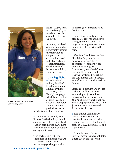

**Gizelle Cardiel, Port Hueneme Commissary, Calif.**

nearly \$2,800 for a married couple, and nearly \$4,400 for a couple with two children.

Attaining this level of savings would not be possible without the tremendous support of an extended team of industry partners — manufacturers, distributors and brokers — building value together.

#### **Year's highlights**

 $\Box$  DeCA saluted military families' love for companion animals with the "Your Pet, Your Family" campaign, which launched first at Joint Base San Antonio's Randolph Commissary. Pet product sales rose nearly 5 percent for the year.

 $\Box$  The inaugural Family Fun Fitness Festival in May, held in conjunction with the worldwide case lot sale, helped customers recognize the benefits of healthy eating and fitness.

This partnership with the exchanges and morale, welfare and recreation programs helped engage shoppers with

its message of "installation as destination."

 $\Box$  Case lot sales continued to break sales records and deliver savings by the "U-boat," the large carts shoppers use to tote mountains of groceries to their cars.

□ The Guard and Reserve On-Site Sales Program thrived, delivering savings directly to customers' home turf for another amazing year. The "commissary on wheels" took the benefit to Guard and Reserve locations throughout the continental United States, as well as Hawaii and American Samoa.

Fiscal 2010 brought 156 events with \$8.7 million in sales, amounting to \$4.0 million in savings for the more than 70,000 shoppers participating. The average purchase rose from \$110 in fiscal 2009 to nearly  $$124$  in fiscal 2010.

□ The annual Commissary Customer Service Survey resulted in another record for customer service — the highest score in DeCA history: 4.68 on a 5-point scale.

 $\Box$  Again this year, DeCA's internal measures were validated externally by the American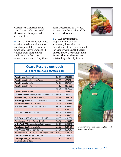Customer Satisfaction Index. DeCA's score of 80 exceeded the commercial supermarket average of 75.

 $\Box$  DeCA's stewardship continues to reflect total commitment to fiscal responsibility, earning a ninth consecutive, unqualified opinion from independent auditors on its fiscal 2010 financial statements. Only three

other Department of Defense organizations have achieved this level of performance.

□ DeCA's environmental program achieved highlevel recognition when the Department of Energy presented the agency with a 2010 Federal Energy and Water Management Award. The award recognizes outstanding efforts by federal



### **Guard-Reserve outreach**

| Fort Gillem, Ga., at Atlanta                               | <b>Nov 09</b> | \$285,882 |
|------------------------------------------------------------|---------------|-----------|
| Fort Gillem at Chattanooga, Tenn.                          | <b>Dec 09</b> | \$273,124 |
| <b>Fort Gillem at Atlanta</b>                              | Mar 10        | \$267,204 |
| Fort Gillem at Chattanooga                                 | Sep 10        | \$265,125 |
|                                                            | <b>Jun 10</b> | \$257,000 |
| <b>Fort Gillem at Atlanta</b>                              | Aug 10        | \$248,649 |
| JB Pearl Harbor-Hickam, Hawaii, at Hawaii ANG              | May 10        | \$246,422 |
| Maxwell AFB, Ala., at Fort McClellan, Ala.                 | Oct 09        | \$229,115 |
| Fort Bragg South, N.C., at Charlotte, N.C.                 | Oct 09        | \$175,699 |
| NAS Jacksonville, Fla., at Miami                           | Apr 10        | \$168,668 |
| Fort Campbell, Ky., at Knoxville, Tenn.                    | <b>Nov 09</b> | \$153,441 |
|                                                            | Aug 10        | \$150,720 |
| Fort Bragg South at Charlotte                              | <b>Dec 09</b> | \$148,000 |
|                                                            | Apr 10        | \$145,831 |
| F.E. Warren AFB, Wyo., at Nebraska ANG                     | Aug 10        | \$131,550 |
| Fort Jackson, S.C., at Greenville, S.C.                    | May 10        | \$123,023 |
| Little Rock AFB, Ark., at Camp Robinson, Ark.              | Oct 09        | \$120,878 |
| Fort Bragg South at Charlotte                              | Aug 10        | \$120,416 |
| F.E. Warren AFB at Nebraska ANG                            | Apr 10        | \$110,362 |
| Malmstrom AFB, Mont., at Fort Harrison, Mont.              | <b>Nov 09</b> | \$108,326 |
| Little Rock AFB at Camp Robinson                           | Apr 10        | \$104,510 |
| Randolph AFB, JB San Antonio,<br>at Ellington Field, Texas | Sep 10        | \$100,100 |

### **Six-figure on-site sales, fiscal 2010**



**Dwayne Clark, store associate, Lackland Commissary, Texas**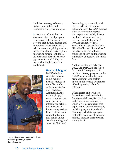facilities in energy efficiency, water conservation and renewable energy technologies.

 $\Box$  DeCA moved ahead on its electronic shelf label program — wireless, battery-operated screens that display pricing and other item information. ESLs will increase the pricing accuracy between shelf and register, thus increasing patron confidence. As of the end of the fiscal year, 34 stores featured ESLs, and worldwide implementation continued.

Continuing a partnership with the Department of Defense Education Activity, DeCA created a link on www.commissaries. com to promote healthy brown bag lunch ideas, as well as on the DoDEA website, http:// www.dodea.edu/wellness. These efforts support first lady Michelle Obama's "Let's Move!" initiative aimed at reducing childhood obesity and increasing availability of healthy, affordable food.

**Health highlights**

DeCA's dietitian educates patrons about making healthy choices in their diet, such as eating more fruits and vegetables. Additionally, the website, http:// www.commissaries. com, provides informative articles and answers to important questions from customers on general nutrition and health under "Healthy Living" and "Ask the Dietitian."

Another joint effort between DeCA and DoDEA is the "Food for Thought" Program. This nutrition literacy program in the DoD European school system promotes improved dietary habits and increased awareness of healthy eating habits for children.

Other health-and-wellnessfocused partnerships include: Employee Wellness, Satisfaction and Engagement campaign, which is a DoD campaign that explores and promotes monthly health topics; and President's Challenge, which is a program that helps people of all ages and abilities increase their physical activity level.

**Ernest Triplett, lead computer-assistedordering specialist, Norfolk Commissary, Va.**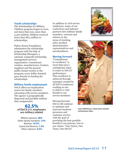#### **Youth scholarships**

The Scholarships for Military Children program began in 2001, and since that year, more than 5,400 military children received more than \$8.3 million in scholarships.

Fisher House Foundation administers the scholarship program with the help of Scholarship Managers, a national, nonprofit scholarship management services organization. Commissary vendors, manufacturers, brokers, suppliers and the general public donate money to the program; every dollar donated goes directly to funding the scholarships.

#### **Military family employment**

DeCA offers an employment source for family members relocating with service members. The agency is geographically dispersed and parallels military duty assignments.

#### **62.5% of DeCA U.S. employees are military related**

Military spouses: **28%** Other family members: **13%** Retirees: **10.5%** Guard and Reserve: **1.5%** Other veterans: **9.5%**

In addition to civil service employees, many of our contractors and industry partners hire military family members, veterans and retirees in the areas of stocking,

sales, product demonstration representatives and merchandisers.

#### **Moving forward**

"Commitment to excellence" is more than just a catchphrase when it comes to DeCA's performance. This excellence is achieved through synergies created by all DeCA employees working as one to deliver a vital benefit to our service members.

Moving forward, DeCA will continue to optimize and innovate business processes and customer service, with the goal of providing the best possible benefit to our patrons, true to our values: "One Vision, One Team, One DeCA!"





**Joyce Matthews, meatcutter, Keesler Commissary, Miss.**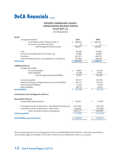### **DeCA financials ...**

#### **DEFENSE COMMISSARY AGENCY CONSOLIDATED BALANCE SHEETS AS OF SEPT. 30**

(in thousands)

| <b>Assets</b>                                              |               |                               |
|------------------------------------------------------------|---------------|-------------------------------|
| Intragovernmental                                          | 2010          | 2009                          |
| Fund balance with Treasury (Note 2)                        | 680,814<br>\$ | 668,291<br>\$                 |
| Accounts receivable and other                              | 97            | 74                            |
| Total intragovernmental assets                             | 680,911       | 668,365                       |
| Cash                                                       | 63,206        | 74,368                        |
| Accounts receivable and other assets, net                  | 47,908        | 46,884                        |
| Inventory                                                  | 401,913       | 400,397                       |
| General property, plant, and equipment, net (Note 3)       | 813,056       | 798,918                       |
| <b>Total assets</b>                                        | 2,006,994     | \$1,988,932                   |
| Liabilities (Note 4)                                       |               |                               |
| Intragovernmental:                                         |               |                               |
| Accounts payable                                           | 40,827<br>\$  | 63,346<br>\$                  |
| Other liabilities                                          | 42,046        | 42,058                        |
| Total intragovernmental liabilities                        | 82,873        | 105,404                       |
| Accounts payable                                           | 447,317       | 472,945                       |
| Federal Employees Compensation Act actuarial liability     | 167,221       | 167,351                       |
| Environmental liabilities                                  | 31,018        | 31,075                        |
| Other liabilities                                          | 100,757       | 95,411                        |
| <b>Total liabilities</b>                                   | 829,186<br>Ś. | 872,186<br>$\dot{\mathsf{S}}$ |
| Commitment and contingencies (Note 9)                      |               |                               |
| Net position (Note 5)                                      |               |                               |
| Unexpended appropriations                                  | 135,037<br>\$ | \$<br>111,697                 |
| Cumulative results of operations - earmarked fund (Note 9) | 1,077,440     | 1,057,105                     |
| Cumulative results of operations - other funds             | (34, 669)     | (52,056)                      |
| Total cumulative results of operations                     | 1,042,771     | 1,005,049                     |
| <b>Total net position</b>                                  | 1,177,808     | 1,116,746                     |
| <b>Total liabilities and net position</b>                  | \$2,006,994   | 1,988,932<br>\$               |
|                                                            |               |                               |

The accompanying notes are an integral part of the consolidated financial statements. Only notes pertaining to *this summary page are included, in the order in which they are referenced: Notes 2, 3, 4, 9 and 5.*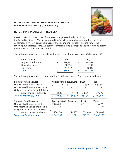

#### **NOTE 2 - FUND BALANCE WITH TREASURY**

FBWT consists of three types of funds — appropriated funds, revolving funds, and trust funds. The appropriated funds include commissary operations, military construction, military construction recovery act, and the Hurricane Katrina funds; the revolving fund relates to DeCA's commissary resale stocks fund; and the trust fund relates to the Surcharge Collections Trust Fund.

The following table shows the balance for each type of fund as of Sept. 30, 2010 and 2009:

| <b>Fund balances:</b> | 2010    | 2009    |
|-----------------------|---------|---------|
| Appropriated funds    | 298,497 | 302,964 |
| Revolving funds       | 30,370  | 41,505  |
| Trust funds           | 351,947 | 323,822 |
| Total                 | 680,814 | 668,291 |

The following table shows the status of the fund balances as of Sept. 30, 2010 and 2009:

| <b>Status of fund balances:</b>      | Appropriated |    | <b>Revolving</b> | <b>Trust</b> |    | <b>Total</b> |
|--------------------------------------|--------------|----|------------------|--------------|----|--------------|
| Unobligated balance available        | 87,124       | \$ |                  | \$21,930     |    | \$109,054    |
| Unobligated balance unavailable      | 18           |    |                  |              |    | 18           |
| Obligated balance not yet disbursed, |              |    |                  |              |    |              |
| net of contract authority            | 211,355      |    | 30,370           | 330,017      |    | 571,742      |
| Total as of Sept. 30, 2010           | 298,497      | Ś. | 30,370           | \$351,947    | Ś. | 680,814      |
|                                      |              |    |                  |              |    |              |
| <b>Status of fund balances:</b>      | Appropriated |    | <b>Revolving</b> | <b>Trust</b> |    | <b>Total</b> |
| Unobligated balance available        | \$68,284     | \$ |                  | \$14,331     | \$ | 82,615       |
| Unobligated balance unavailable      | 10           |    |                  |              |    | 10           |
| Obligated balance not yet disbursed, |              |    |                  |              |    |              |
| net of contract authority            | 234,670      |    | 41,505           | 309,490      |    | 585,666      |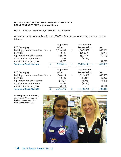#### **NOTE 3 - GENERAL PROPERTY, PLANT AND EQUIPMENT**

General property, plant and equipment (PP&E) at Sept. 30, 2010 and 2009, is summarized as follows:

|                                         | <b>Acquisition</b><br>Value                     |                                | Accumulated<br><b>Depreciation</b> |                                       | <b>Net</b>         |
|-----------------------------------------|-------------------------------------------------|--------------------------------|------------------------------------|---------------------------------------|--------------------|
|                                         |                                                 |                                |                                    |                                       | 659,191            |
|                                         |                                                 |                                |                                    |                                       | 12,777             |
|                                         |                                                 |                                |                                    |                                       | 89,309             |
|                                         | 4,396                                           |                                | (4,396)                            |                                       |                    |
|                                         | 51,779                                          |                                |                                    |                                       | 51,779             |
| $\dot{\mathsf{S}}$                      | 2,282,594                                       | \$                             | (1,469,538)                        | \$                                    | 813,056            |
|                                         | <b>Acquisition</b>                              |                                | Accumulated                        |                                       |                    |
|                                         | <b>Value</b>                                    |                                | Depreciation                       |                                       | <b>Net</b>         |
| Buildings, structures and facilities \$ | 1,968,443                                       | \$                             | (1,332,038)                        |                                       | 636,405            |
|                                         | 33,199                                          |                                | (17, 211)                          |                                       | 15,988             |
|                                         | 151,636                                         |                                | (66, 233)                          |                                       | 85,403             |
|                                         | 4,396                                           |                                | (4,396)                            |                                       |                    |
|                                         | 61,122                                          |                                |                                    |                                       | 61,122             |
| \$                                      | 2,218,796                                       | \$                             | (1, 419, 878)                      | \$                                    | 798,918            |
|                                         | Buildings, structures and facilities<br>$\zeta$ | 2,046,484<br>33,397<br>146,518 | \$                                 | (1,387,293)<br>(20, 620)<br>(57, 229) | $\zeta$<br>$\zeta$ |

**Alicia Bryant, store associate, and Rhonda Wilker-Liggins, lead store associate, Fort Bliss Commissary, Texas**

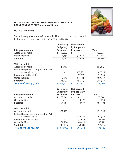

#### **NOTE 4: LIABILITIES**

The following table summarizes total liabilities covered and not covered by budgetary resources as of Sept. 30, 2010 and 2009:

|                                           | Covered by<br><b>Budgetary</b> | <b>Not Covered</b><br>by Budgetary |               |
|-------------------------------------------|--------------------------------|------------------------------------|---------------|
| Intragovernmental:                        | <b>Resources</b>               | <b>Resources</b>                   | <b>Total</b>  |
| Accounts payable                          | 40,827<br>\$                   | \$                                 | \$<br>40,827  |
| Other liabilities                         | 4,358                          | 37,688                             | 42,046        |
| Subtotal                                  | 45,185                         | 37,688                             | 82,873        |
| With the public:                          |                                |                                    |               |
| Accounts payable                          | 447,317                        |                                    | 447,317       |
| <b>Federal Employees Compensation Act</b> |                                |                                    |               |
| actuarial liability                       |                                | 167,221                            | 167,221       |
| <b>Environmental liabilities</b>          |                                | 31,018                             | 31,018        |
| Other liabilities                         | 36,273                         | 64,484                             | 100,757       |
| Subtotal                                  | 483,590                        | 262,723                            | 746,313       |
| Total as of Sept. 30, 2010                | \$<br>528,775                  | \$<br>300,411                      | \$<br>829,186 |
|                                           |                                |                                    |               |
|                                           | Covered by                     | <b>Not Covered</b>                 |               |
|                                           | <b>Budgetary</b>               | by Budgetary                       |               |
| Intragovernmental:                        | <b>Resources</b>               | <b>Resources</b>                   | <b>Total</b>  |
| Accounts payable                          | 63,346<br>\$                   | \$                                 | \$<br>63,346  |
| Other liabilities                         | 3,881                          | 38,177                             | 42,058        |
| <b>Subtotal</b>                           | 67,227                         | 38,177                             | 105,404       |
| With the public:                          |                                |                                    |               |
| Accounts payable                          | 472,945                        |                                    | 472,945       |
| Federal Employees Compensation Act        |                                |                                    |               |
| actuarial liability                       |                                | 167,351                            | 167,351       |
| Environmental liabilities                 |                                | 31,075                             | 31,075        |
| Other liabilities                         | 30,790                         | 64,621                             | 95,411        |
| <b>Subtotal</b>                           | 503,735                        | 263,047                            | 766,782       |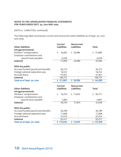(NOTE 4 - LIABILITIES, continued)

The following table summarizes current and noncurrent other liabilities as of Sept. 30, 2010 and 2009.

| <b>Other liabilities</b>                            | Current<br><b>Liabilities</b> | Noncurrent<br><b>Liabilities</b> | <b>Total</b> |
|-----------------------------------------------------|-------------------------------|----------------------------------|--------------|
| Intragovernmental:                                  |                               |                                  |              |
| Workers' compensation<br>Employer contributions and | 16,692<br>\$                  | \$20,996                         | 37,688<br>\$ |
| payroll taxes payable                               | 4,358                         |                                  | 4,358        |
| <b>Subtotal</b>                                     | 21,050                        | 20,996                           | 42,046       |
| With the public:                                    |                               |                                  |              |
| Accrued funded payroll and benefits                 | 36,273                        |                                  | 36,273       |
| Foreign national separation pay                     | 16,532                        |                                  | 16,532       |
| <b>Accrued leave</b>                                | 47,952                        |                                  | 47,952       |
| Subtotal                                            | 100,757                       |                                  | 100,757      |
| Total as of Sept. 30, 2010                          | \$121,807                     | \$20,996                         | \$142,803    |
|                                                     |                               |                                  |              |
|                                                     | Current                       | <b>Noncurrent</b>                |              |
| <b>Other liabilities</b>                            | <b>Liabilities</b>            | <b>Liabilities</b>               | <b>Total</b> |
| Intragovernmental:                                  |                               |                                  |              |
| Workers' compensation                               | 16,353<br>\$                  | \$21,824                         | 38,177<br>\$ |
| Employer contributions and                          |                               |                                  |              |
| payroll taxes payable                               | 3,881                         |                                  | 3,881        |
| <b>Subtotal</b>                                     | 20,234                        | 21,824                           | 42,058       |
| With the public:                                    |                               |                                  |              |
| Accrued funded payroll and benefits                 | 30,789                        |                                  | 30,789       |
| Foreign national separation pay                     | 17,608                        |                                  | 17,608       |
| <b>Accrued leave</b>                                | 47,014                        |                                  | 47,014       |
| <b>Subtotal</b>                                     | 95,411                        |                                  | 95,411       |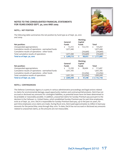

#### **NOTE 5 - NET POSITION**

The following table summarizes the net position by fund type as of Sept. 30, 2010 and 2009:

|                                                    | General      |              | <b>Working</b><br>Capital |                  |
|----------------------------------------------------|--------------|--------------|---------------------------|------------------|
| Net position:                                      | <b>Funds</b> |              | <b>Funds</b>              | Total            |
| Unexpended appropriations                          | 12,313<br>Ś. | \$           | 122,724                   | 135,037<br>\$    |
| Cumulative results of operations - earmarked funds | 1,077,440    |              |                           | 1,077,440        |
| Cumulative results of operations - other funds     |              |              | (34, 669)                 | (34, 669)        |
| Total cumulative results of operations             | 1,077,440    |              | (34, 669)                 | (34, 669)        |
| Total as of Sept. 30, 2010                         | \$1,089,753  | \$           | 88,055                    | 1,177,808<br>\$. |
|                                                    |              |              |                           |                  |
|                                                    | General      |              | <b>Working</b><br>Capital |                  |
| Net position:                                      | <b>Funds</b> | <b>Funds</b> |                           | Total            |
| Unexpended appropriations                          | Ś.<br>12,293 | \$           | 99,404                    | 111,697<br>\$    |
| Cumulative results of operations - earmarked funds | 1,057,105    |              |                           | 1,057,105        |
| Cumulative results of operations - other funds     |              |              | (52,056)                  | (52,056)         |
| Total cumulative results of operations             | 1,057,105    |              | (52,056)                  | 1,005,049        |

#### **NOTE 9 - CONTINGENCIES**

The Defense Commissary Agency is a party in various administrative proceedings and legal actions related to claims for environmental damage, equal opportunity matters and contractual bid protests. DeCA has not accrued or disclosed any amounts for contingent liabilities, as potential losses have not been determined to be probable or reasonably possible. In addition, unasserted claims for Sunday Premium pay pursuant to the decision in the Fathauer vs. United States, which established Sunday Premium pay for part-time employees, exist as of Sept. 30, 2010. DeCA is responsible for Sunday Premium back-pay, up to the past six years, for part-time employees once claims are made. During fiscal 2010, DeCA paid approximately \$5 million in back-pay amounts for the period May 2009 through May 2010. To date, DeCA has not accrued or disclosed any amounts related to unasserted claims, as the amounts are not measurable.